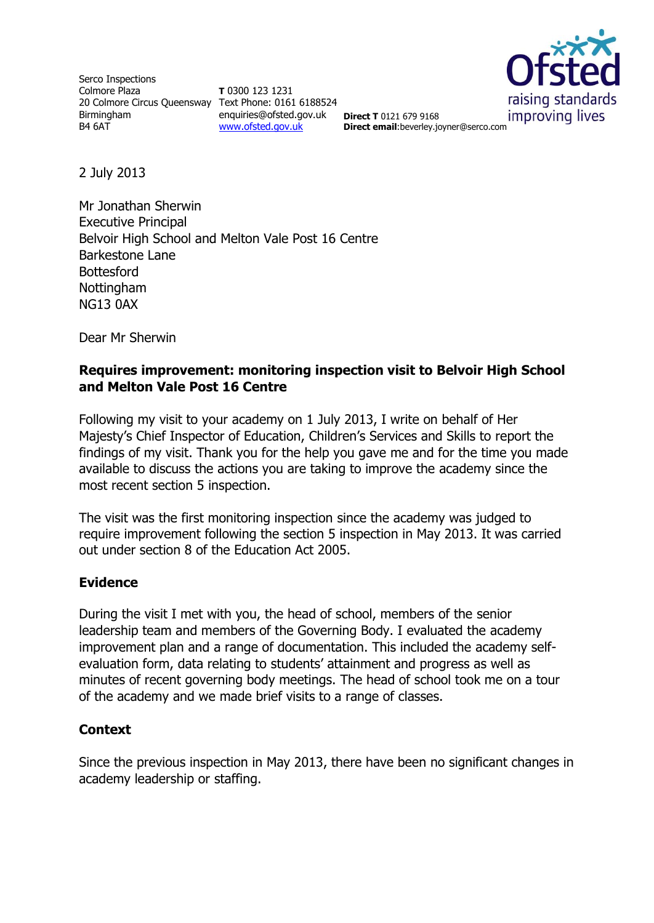Serco Inspections Colmore Plaza 20 Colmore Circus Queensway Text Phone: 0161 6188524 Birmingham B4 6AT

**T** 0300 123 1231 enquiries@ofsted.gov.uk **Direct T** 0121 679 9168 [www.ofsted.gov.uk](http://www.ofsted.gov.uk/)



**Direct email**:beverley.joyner@serco.com

2 July 2013

Mr Jonathan Sherwin Executive Principal Belvoir High School and Melton Vale Post 16 Centre Barkestone Lane **Bottesford** Nottingham NG13 0AX

Dear Mr Sherwin

## **Requires improvement: monitoring inspection visit to Belvoir High School and Melton Vale Post 16 Centre**

Following my visit to your academy on 1 July 2013, I write on behalf of Her Majesty's Chief Inspector of Education, Children's Services and Skills to report the findings of my visit. Thank you for the help you gave me and for the time you made available to discuss the actions you are taking to improve the academy since the most recent section 5 inspection.

The visit was the first monitoring inspection since the academy was judged to require improvement following the section 5 inspection in May 2013. It was carried out under section 8 of the Education Act 2005.

#### **Evidence**

During the visit I met with you, the head of school, members of the senior leadership team and members of the Governing Body. I evaluated the academy improvement plan and a range of documentation. This included the academy selfevaluation form, data relating to students' attainment and progress as well as minutes of recent governing body meetings. The head of school took me on a tour of the academy and we made brief visits to a range of classes.

# **Context**

Since the previous inspection in May 2013, there have been no significant changes in academy leadership or staffing.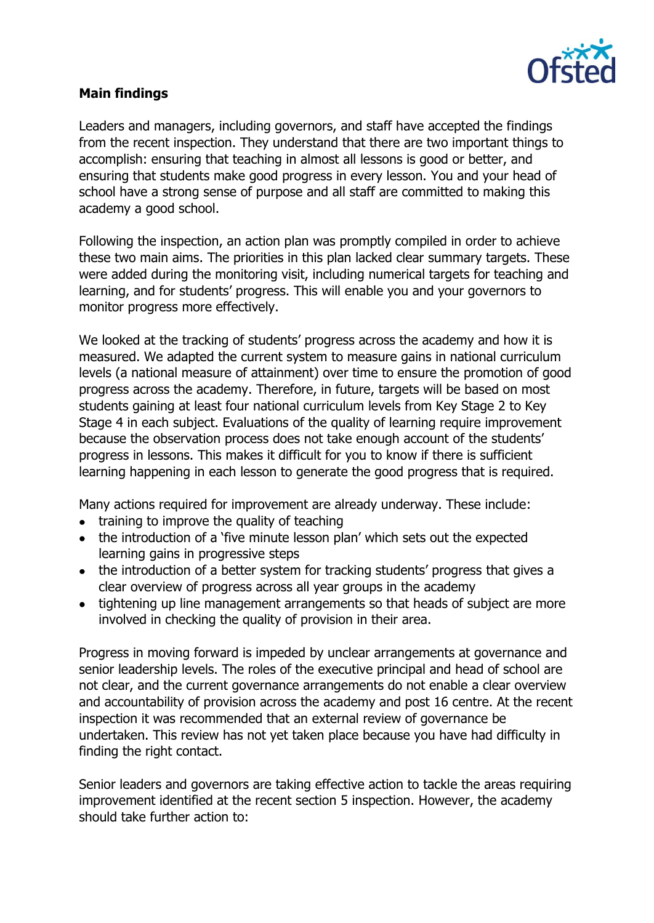

## **Main findings**

Leaders and managers, including governors, and staff have accepted the findings from the recent inspection. They understand that there are two important things to accomplish: ensuring that teaching in almost all lessons is good or better, and ensuring that students make good progress in every lesson. You and your head of school have a strong sense of purpose and all staff are committed to making this academy a good school.

Following the inspection, an action plan was promptly compiled in order to achieve these two main aims. The priorities in this plan lacked clear summary targets. These were added during the monitoring visit, including numerical targets for teaching and learning, and for students' progress. This will enable you and your governors to monitor progress more effectively.

We looked at the tracking of students' progress across the academy and how it is measured. We adapted the current system to measure gains in national curriculum levels (a national measure of attainment) over time to ensure the promotion of good progress across the academy. Therefore, in future, targets will be based on most students gaining at least four national curriculum levels from Key Stage 2 to Key Stage 4 in each subject. Evaluations of the quality of learning require improvement because the observation process does not take enough account of the students' progress in lessons. This makes it difficult for you to know if there is sufficient learning happening in each lesson to generate the good progress that is required.

Many actions required for improvement are already underway. These include:

- training to improve the quality of teaching
- the introduction of a 'five minute lesson plan' which sets out the expected learning gains in progressive steps
- the introduction of a better system for tracking students' progress that gives a clear overview of progress across all year groups in the academy
- tightening up line management arrangements so that heads of subject are more involved in checking the quality of provision in their area.

Progress in moving forward is impeded by unclear arrangements at governance and senior leadership levels. The roles of the executive principal and head of school are not clear, and the current governance arrangements do not enable a clear overview and accountability of provision across the academy and post 16 centre. At the recent inspection it was recommended that an external review of governance be undertaken. This review has not yet taken place because you have had difficulty in finding the right contact.

Senior leaders and governors are taking effective action to tackle the areas requiring improvement identified at the recent section 5 inspection. However, the academy should take further action to: